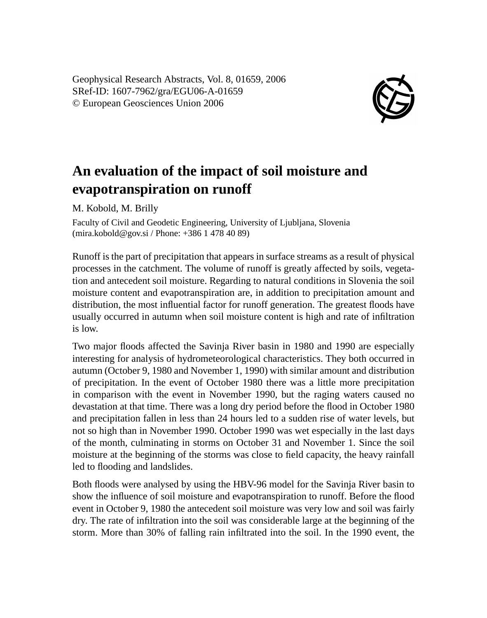Geophysical Research Abstracts, Vol. 8, 01659, 2006 SRef-ID: 1607-7962/gra/EGU06-A-01659 © European Geosciences Union 2006



## **An evaluation of the impact of soil moisture and evapotranspiration on runoff**

M. Kobold, M. Brilly

Faculty of Civil and Geodetic Engineering, University of Ljubljana, Slovenia (mira.kobold@gov.si / Phone: +386 1 478 40 89)

Runoff is the part of precipitation that appears in surface streams as a result of physical processes in the catchment. The volume of runoff is greatly affected by soils, vegetation and antecedent soil moisture. Regarding to natural conditions in Slovenia the soil moisture content and evapotranspiration are, in addition to precipitation amount and distribution, the most influential factor for runoff generation. The greatest floods have usually occurred in autumn when soil moisture content is high and rate of infiltration is low.

Two major floods affected the Savinja River basin in 1980 and 1990 are especially interesting for analysis of hydrometeorological characteristics. They both occurred in autumn (October 9, 1980 and November 1, 1990) with similar amount and distribution of precipitation. In the event of October 1980 there was a little more precipitation in comparison with the event in November 1990, but the raging waters caused no devastation at that time. There was a long dry period before the flood in October 1980 and precipitation fallen in less than 24 hours led to a sudden rise of water levels, but not so high than in November 1990. October 1990 was wet especially in the last days of the month, culminating in storms on October 31 and November 1. Since the soil moisture at the beginning of the storms was close to field capacity, the heavy rainfall led to flooding and landslides.

Both floods were analysed by using the HBV-96 model for the Savinja River basin to show the influence of soil moisture and evapotranspiration to runoff. Before the flood event in October 9, 1980 the antecedent soil moisture was very low and soil was fairly dry. The rate of infiltration into the soil was considerable large at the beginning of the storm. More than 30% of falling rain infiltrated into the soil. In the 1990 event, the